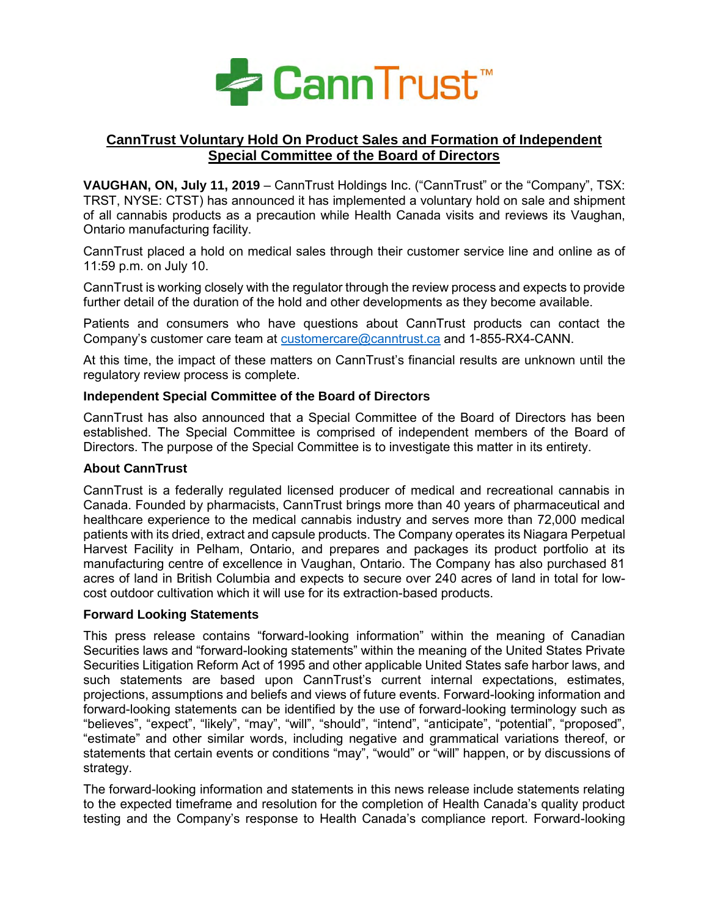

# **CannTrust Voluntary Hold On Product Sales and Formation of Independent Special Committee of the Board of Directors**

**VAUGHAN, ON, July 11, 2019** – CannTrust Holdings Inc. ("CannTrust" or the "Company", TSX: TRST, NYSE: CTST) has announced it has implemented a voluntary hold on sale and shipment of all cannabis products as a precaution while Health Canada visits and reviews its Vaughan, Ontario manufacturing facility.

CannTrust placed a hold on medical sales through their customer service line and online as of 11:59 p.m. on July 10.

CannTrust is working closely with the regulator through the review process and expects to provide further detail of the duration of the hold and other developments as they become available.

Patients and consumers who have questions about CannTrust products can contact the Company's customer care team at [customercare@canntrust.ca](mailto:customercare@canntrust.ca) and 1-855-RX4-CANN.

At this time, the impact of these matters on CannTrust's financial results are unknown until the regulatory review process is complete.

# **Independent Special Committee of the Board of Directors**

CannTrust has also announced that a Special Committee of the Board of Directors has been established. The Special Committee is comprised of independent members of the Board of Directors. The purpose of the Special Committee is to investigate this matter in its entirety.

### **About CannTrust**

CannTrust is a federally regulated licensed producer of medical and recreational cannabis in Canada. Founded by pharmacists, CannTrust brings more than 40 years of pharmaceutical and healthcare experience to the medical cannabis industry and serves more than 72,000 medical patients with its dried, extract and capsule products. The Company operates its Niagara Perpetual Harvest Facility in Pelham, Ontario, and prepares and packages its product portfolio at its manufacturing centre of excellence in Vaughan, Ontario. The Company has also purchased 81 acres of land in British Columbia and expects to secure over 240 acres of land in total for lowcost outdoor cultivation which it will use for its extraction-based products.

### **Forward Looking Statements**

This press release contains "forward-looking information" within the meaning of Canadian Securities laws and "forward-looking statements" within the meaning of the United States Private Securities Litigation Reform Act of 1995 and other applicable United States safe harbor laws, and such statements are based upon CannTrust's current internal expectations, estimates, projections, assumptions and beliefs and views of future events. Forward-looking information and forward-looking statements can be identified by the use of forward-looking terminology such as "believes", "expect", "likely", "may", "will", "should", "intend", "anticipate", "potential", "proposed", "estimate" and other similar words, including negative and grammatical variations thereof, or statements that certain events or conditions "may", "would" or "will" happen, or by discussions of strategy.

The forward-looking information and statements in this news release include statements relating to the expected timeframe and resolution for the completion of Health Canada's quality product testing and the Company's response to Health Canada's compliance report. Forward-looking